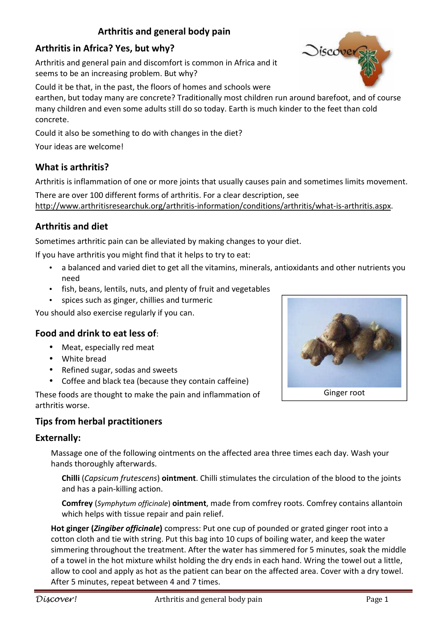# **Arthritis and general body pain**

# **Arthritis in Africa? Yes, but why?**

Arthritis and general pain and discomfort is common in Africa and it seems to be an increasing problem. But why?

Could it be that, in the past, the floors of homes and schools were

earthen, but today many are concrete? Traditionally most children run around barefoot, and of course many children and even some adults still do so today. Earth is much kinder to the feet than cold concrete.

Could it also be something to do with changes in the diet?

Your ideas are welcome!

### **What is arthritis?**

Arthritis is inflammation of one or more joints that usually causes pain and sometimes limits movement.

There are over 100 different forms of arthritis. For a clear description, see http://www.arthritisresearchuk.org/arthritis-information/conditions/arthritis/what-is-arthritis.aspx.

# **Arthritis and diet**

Sometimes arthritic pain can be alleviated by making changes to your diet.

If you have arthritis you might find that it helps to try to eat:

- a balanced and varied diet to get all the vitamins, minerals, antioxidants and other nutrients you need
- fish, beans, lentils, nuts, and plenty of fruit and vegetables
- spices such as ginger, chillies and turmeric

You should also exercise regularly if you can.

### **Food and drink to eat less of**:

- Meat, especially red meat
- White bread
- Refined sugar, sodas and sweets
- Coffee and black tea (because they contain caffeine)

These foods are thought to make the pain and inflammation of arthritis worse.

### **Tips from herbal practitioners**

#### **Externally:**

Massage one of the following ointments on the affected area three times each day. Wash your hands thoroughly afterwards.

**Chilli** (*Capsicum frutescens*) **ointment**. Chilli stimulates the circulation of the blood to the joints and has a pain-killing action.

**Comfrey** (*Symphytum officinale*) **ointment**, made from comfrey roots. Comfrey contains allantoin which helps with tissue repair and pain relief.

**Hot ginger (***Zingiber officinale***)** compress: Put one cup of pounded or grated ginger root into a cotton cloth and tie with string. Put this bag into 10 cups of boiling water, and keep the water simmering throughout the treatment. After the water has simmered for 5 minutes, soak the middle of a towel in the hot mixture whilst holding the dry ends in each hand. Wring the towel out a little, allow to cool and apply as hot as the patient can bear on the affected area. Cover with a dry towel. After 5 minutes, repeat between 4 and 7 times.